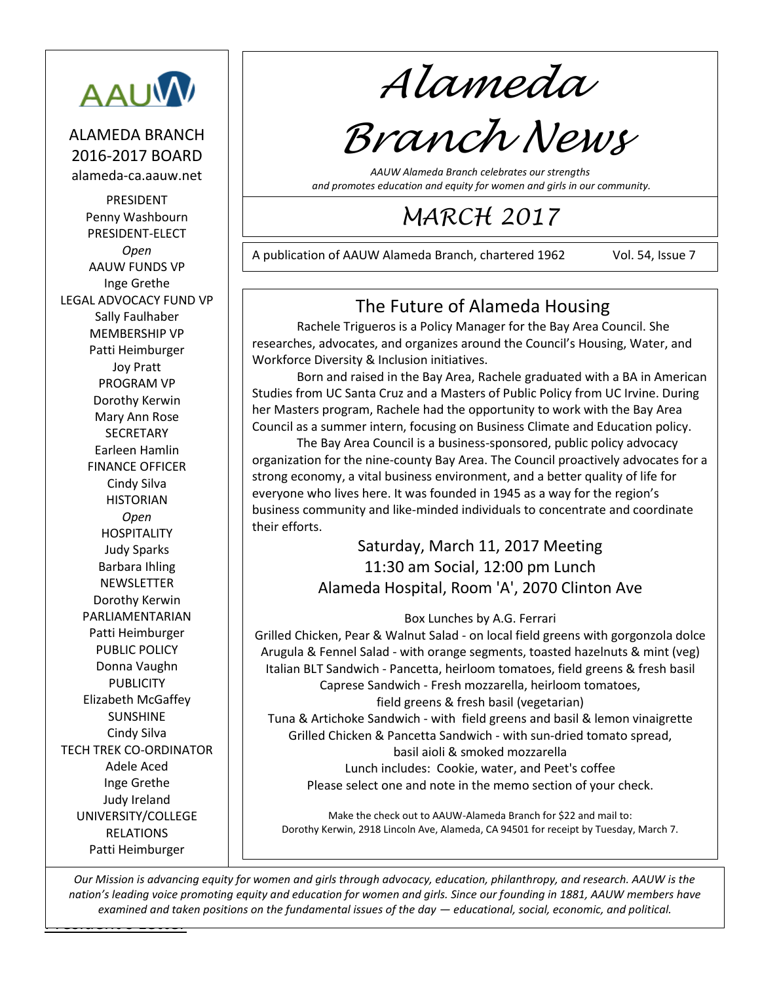

#### ALAMEDA BRANCH 2016-2017 BOARD alameda-ca.aauw.net

PRESIDENT Penny Washbourn PRESIDENT-ELECT *Open* AAUW FUNDS VP Inge Grethe LEGAL ADVOCACY FUND VP Sally Faulhaber MEMBERSHIP VP Patti Heimburger Joy Pratt PROGRAM VP Dorothy Kerwin Mary Ann Rose **SECRETARY** Earleen Hamlin FINANCE OFFICER Cindy Silva **HISTORIAN** *Open* HOSPITALITY Judy Sparks Barbara Ihling **NEWSLETTER** Dorothy Kerwin PARLIAMENTARIAN Patti Heimburger PUBLIC POLICY Donna Vaughn PUBLICITY Elizabeth McGaffey SUNSHINE Cindy Silva TECH TREK CO-ORDINATOR Adele Aced Inge Grethe Judy Ireland UNIVERSITY/COLLEGE RELATIONS Patti Heimburger

*Alameda*

# *Branch News*

*AAUW Alameda Branch celebrates our strengths and promotes education and equity for women and girls in our community.*

# *MARCH 2017*

A publication of AAUW Alameda Branch, chartered 1962 Vol. 54, Issue 7

221210

# The Future of Alameda Housing

Rachele Trigueros is a Policy Manager for the Bay Area Council. She researches, advocates, and organizes around the Council's Housing, Water, and Workforce Diversity & Inclusion initiatives.

Born and raised in the Bay Area, Rachele graduated with a BA in American Studies from UC Santa Cruz and a Masters of Public Policy from UC Irvine. During her Masters program, Rachele had the opportunity to work with the Bay Area Council as a summer intern, focusing on Business Climate and Education policy.

The Bay Area Council is a business-sponsored, public policy advocacy organization for the nine-county Bay Area. The Council proactively advocates for a strong economy, a vital business environment, and a better quality of life for everyone who lives here. It was founded in 1945 as a way for the region's business community and like-minded individuals to concentrate and coordinate their efforts.

#### Saturday, March 11, 2017 Meeting 11:30 am Social, 12:00 pm Lunch Alameda Hospital, Room 'A', 2070 Clinton Ave

#### Box Lunches by A.G. Ferrari

Grilled Chicken, Pear & Walnut Salad - on local field greens with gorgonzola dolce Arugula & Fennel Salad - with orange segments, toasted hazelnuts & mint (veg) Italian BLT Sandwich - Pancetta, heirloom tomatoes, field greens & fresh basil Caprese Sandwich - Fresh mozzarella, heirloom tomatoes, field greens & fresh basil (vegetarian) Tuna & Artichoke Sandwich - with field greens and basil & lemon vinaigrette Grilled Chicken & Pancetta Sandwich - with sun-dried tomato spread, basil aioli & smoked mozzarella Lunch includes: Cookie, water, and Peet's coffee Please select one and note in the memo section of your check.

Make the check out to AAUW-Alameda Branch for \$22 and mail to: Dorothy Kerwin, 2918 Lincoln Ave, Alameda, CA 94501 for receipt by Tuesday, March 7.

<u>Letters and the Letters and</u> *Our Mission is advancing equity for women and girls through advocacy, education, philanthropy, and research. AAUW is the nation's leading voice promoting equity and education for women and girls. Since our founding in 1881, AAUW members have examined and taken positions on the fundamental issues of the day — educational, social, economic, and political.*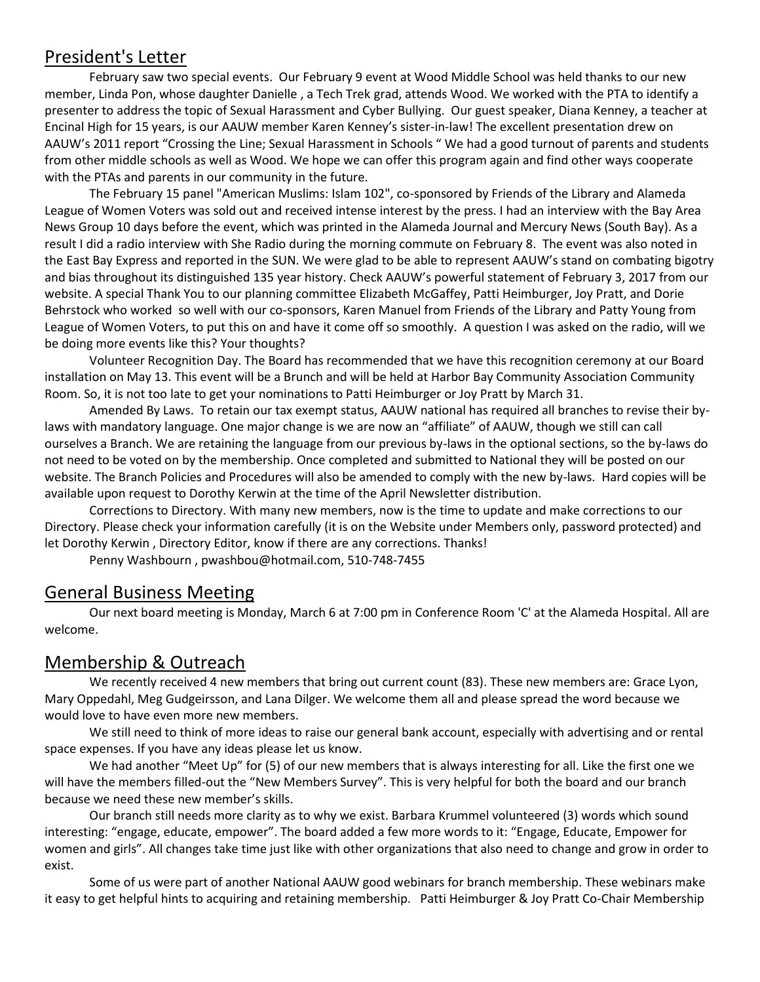#### President's Letter

February saw two special events. Our February 9 event at Wood Middle School was held thanks to our new member, Linda Pon, whose daughter Danielle , a Tech Trek grad, attends Wood. We worked with the PTA to identify a presenter to address the topic of Sexual Harassment and Cyber Bullying. Our guest speaker, Diana Kenney, a teacher at Encinal High for 15 years, is our AAUW member Karen Kenney's sister-in-law! The excellent presentation drew on AAUW's 2011 report "Crossing the Line; Sexual Harassment in Schools " We had a good turnout of parents and students from other middle schools as well as Wood. We hope we can offer this program again and find other ways cooperate with the PTAs and parents in our community in the future.

The February 15 panel "American Muslims: Islam 102", co-sponsored by Friends of the Library and Alameda League of Women Voters was sold out and received intense interest by the press. I had an interview with the Bay Area News Group 10 days before the event, which was printed in the Alameda Journal and Mercury News (South Bay). As a result I did a radio interview with She Radio during the morning commute on February 8. The event was also noted in the East Bay Express and reported in the SUN. We were glad to be able to represent AAUW's stand on combating bigotry and bias throughout its distinguished 135 year history. Check AAUW's powerful statement of February 3, 2017 from our website. A special Thank You to our planning committee Elizabeth McGaffey, Patti Heimburger, Joy Pratt, and Dorie Behrstock who worked so well with our co-sponsors, Karen Manuel from Friends of the Library and Patty Young from League of Women Voters, to put this on and have it come off so smoothly. A question I was asked on the radio, will we be doing more events like this? Your thoughts?

Volunteer Recognition Day. The Board has recommended that we have this recognition ceremony at our Board installation on May 13. This event will be a Brunch and will be held at Harbor Bay Community Association Community Room. So, it is not too late to get your nominations to Patti Heimburger or Joy Pratt by March 31.

Amended By Laws. To retain our tax exempt status, AAUW national has required all branches to revise their bylaws with mandatory language. One major change is we are now an "affiliate" of AAUW, though we still can call ourselves a Branch. We are retaining the language from our previous by-laws in the optional sections, so the by-laws do not need to be voted on by the membership. Once completed and submitted to National they will be posted on our website. The Branch Policies and Procedures will also be amended to comply with the new by-laws. Hard copies will be available upon request to Dorothy Kerwin at the time of the April Newsletter distribution.

Corrections to Directory. With many new members, now is the time to update and make corrections to our Directory. Please check your information carefully (it is on the Website under Members only, password protected) and let Dorothy Kerwin , Directory Editor, know if there are any corrections. Thanks!

Penny Washbourn , [pwashbou@hotmail.com,](mailto:pwashbou@hotmail.com) 510-748-7455

#### General Business Meeting

Our next board meeting is Monday, March 6 at 7:00 pm in Conference Room 'C' at the Alameda Hospital. All are welcome.

#### Membership & Outreach

We recently received 4 new members that bring out current count (83). These new members are: Grace Lyon, Mary Oppedahl, Meg Gudgeirsson, and Lana Dilger. We welcome them all and please spread the word because we would love to have even more new members.

We still need to think of more ideas to raise our general bank account, especially with advertising and or rental space expenses. If you have any ideas please let us know.

We had another "Meet Up" for (5) of our new members that is always interesting for all. Like the first one we will have the members filled-out the "New Members Survey". This is very helpful for both the board and our branch because we need these new member's skills.

Our branch still needs more clarity as to why we exist. Barbara Krummel volunteered (3) words which sound interesting: "engage, educate, empower". The board added a few more words to it: "Engage, Educate, Empower for women and girls". All changes take time just like with other organizations that also need to change and grow in order to exist.

Some of us were part of another National AAUW good webinars for branch membership. These webinars make it easy to get helpful hints to acquiring and retaining membership. Patti Heimburger & Joy Pratt Co-Chair Membership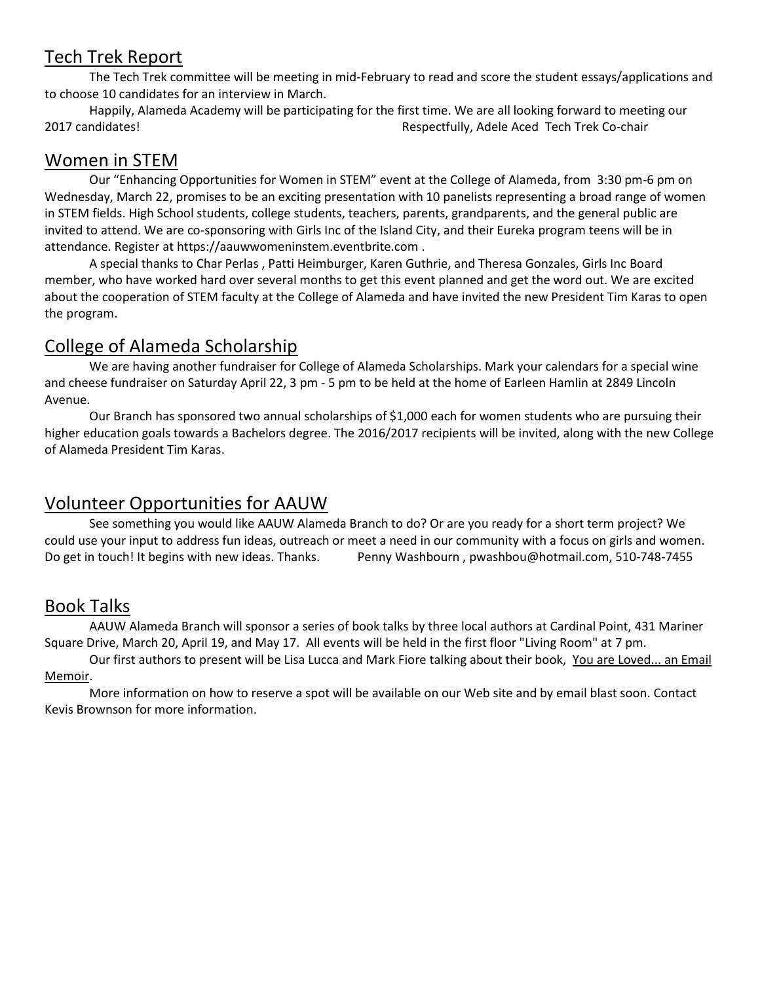## Tech Trek Report

The Tech Trek committee will be meeting in mid-February to read and score the student essays/applications and to choose 10 candidates for an interview in March.

Happily, Alameda Academy will be participating for the first time. We are all looking forward to meeting our 2017 candidates! Respectfully, Adele Aced Tech Trek Co-chair

#### Women in STEM

Our "Enhancing Opportunities for Women in STEM" event at the College of Alameda, from 3:30 pm-6 pm on Wednesday, March 22, promises to be an exciting presentation with 10 panelists representing a broad range of women in STEM fields. High School students, college students, teachers, parents, grandparents, and the general public are invited to attend. We are co-sponsoring with Girls Inc of the Island City, and their Eureka program teens will be in attendance. Register a[t https://aauwwomeninstem.eventbrite.com](https://aauwwomeninstem.eventbrite.com/) .

A special thanks to Char Perlas , Patti Heimburger, Karen Guthrie, and Theresa Gonzales, Girls Inc Board member, who have worked hard over several months to get this event planned and get the word out. We are excited about the cooperation of STEM faculty at the College of Alameda and have invited the new President Tim Karas to open the program.

#### College of Alameda Scholarship

We are having another fundraiser for College of Alameda Scholarships. Mark your calendars for a special wine and cheese fundraiser on Saturday April 22, 3 pm - 5 pm to be held at the home of Earleen Hamlin at 2849 Lincoln Avenue.

Our Branch has sponsored two annual scholarships of \$1,000 each for women students who are pursuing their higher education goals towards a Bachelors degree. The 2016/2017 recipients will be invited, along with the new College of Alameda President Tim Karas.

## Volunteer Opportunities for AAUW

See something you would like AAUW Alameda Branch to do? Or are you ready for a short term project? We could use your input to address fun ideas, outreach or meet a need in our community with a focus on girls and women. Do get in touch! It begins with new ideas. Thanks. Penny Washbourn , [pwashbou@hotmail.com,](mailto:pwashbou@hotmail.com) 510-748-7455

## Book Talks

AAUW Alameda Branch will sponsor a series of book talks by three local authors at Cardinal Point, 431 Mariner Square Drive, March 20, April 19, and May 17. All events will be held in the first floor "Living Room" at 7 pm.

Our first authors to present will be Lisa Lucca and Mark Fiore talking about their book, You are Loved... an Email Memoir.

More information on how to reserve a spot will be available on our Web site and by email blast soon. Contact Kevis Brownson for more information.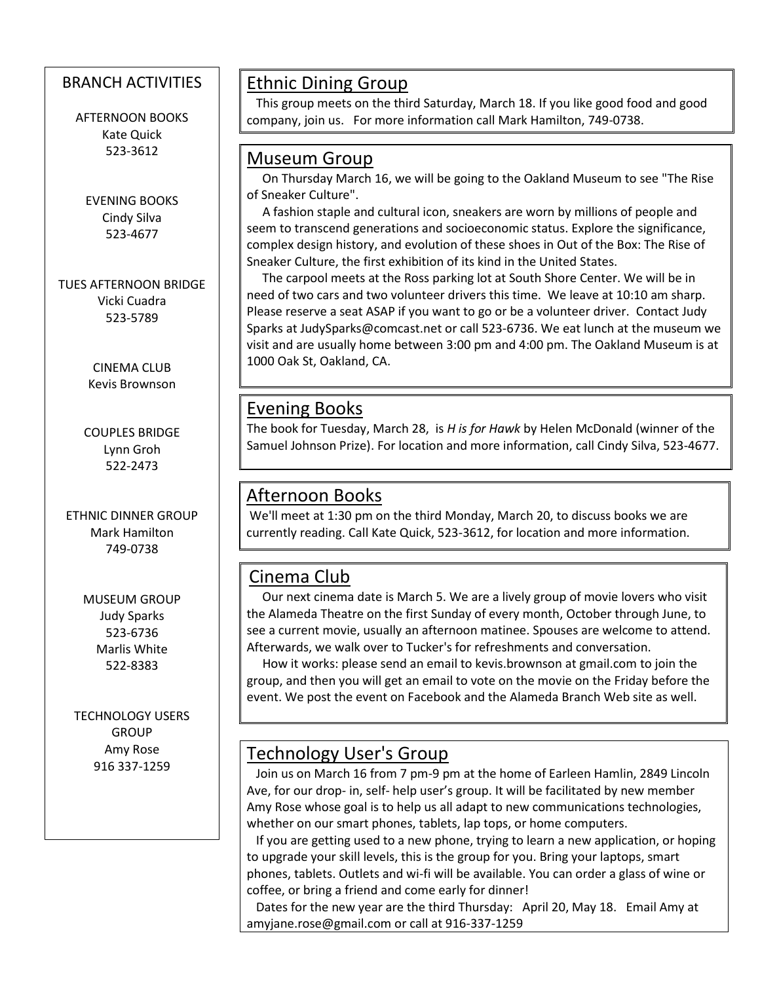#### BRANCH ACTIVITIES

AFTERNOON BOOKS Kate Quick 523-3612

EVENING BOOKS Cindy Silva 523-4677

TUES AFTERNOON BRIDGE Vicki Cuadra 523-5789

> CINEMA CLUB Kevis Brownson

COUPLES BRIDGE Lynn Groh 522-2473

ETHNIC DINNER GROUP Mark Hamilton 749-0738

> MUSEUM GROUP Judy Sparks 523-6736 Marlis White 522-8383

TECHNOLOGY USERS **GROUP** Amy Rose 916 337-1259

 $\overline{\phantom{a}}$ 

# Ethnic Dining Group

 This group meets on the third Saturday, March 18. If you like good food and good company, join us. For more information call Mark Hamilton, 749-0738.

#### Museum Group

 On Thursday March 16, we will be going to the Oakland Museum to see "The Rise of Sneaker Culture".

 A fashion staple and cultural icon, sneakers are worn by millions of people and seem to transcend generations and socioeconomic status. Explore the significance, complex design history, and evolution of these shoes in Out of the Box: The Rise of Sneaker Culture, the first exhibition of its kind in the United States.

 The carpool meets at the Ross parking lot at South Shore Center. We will be in need of two cars and two volunteer drivers this time. We leave at 10:10 am sharp. Please reserve a seat ASAP if you want to go or be a volunteer driver. Contact Judy Sparks at [JudySparks@comcast.net](mailto:JudySparks@comcast.net) or call 523-6736. We eat lunch at the museum we visit and are usually home between 3:00 pm and 4:00 pm. The Oakland Museum is at 1000 Oak St, Oakland, CA.

#### Evening Books

The book for Tuesday, March 28, is *H is for Hawk* by Helen McDonald (winner of the Samuel Johnson Prize). For location and more information, call Cindy Silva, 523-4677.

#### Afternoon Books

We'll meet at 1:30 pm on the third Monday, March 20, to discuss books we are currently reading. Call Kate Quick, 523-3612, for location and more information.

## Cinema Club

 Our next cinema date is March 5. We are a lively group of movie lovers who visit the Alameda Theatre on the first Sunday of every month, October through June, to see a current movie, usually an afternoon matinee. Spouses are welcome to attend. Afterwards, we walk over to Tucker's for refreshments and conversation.

 How it works: please send an email to kevis.brownson at [gmail.com](http://gmail.com/) to join the group, and then you will get an email to vote on the movie on the Friday before the event. We post the event on Facebook and the Alameda Branch Web site as well.

## Technology User's Group

 Join us on March 16 from 7 pm-9 pm at the home of Earleen Hamlin, 2849 Lincoln Ave, for our drop- in, self- help user's group. It will be facilitated by new member Amy Rose whose goal is to help us all adapt to new communications technologies, whether on our smart phones, tablets, lap tops, or home computers.

 If you are getting used to a new phone, trying to learn a new application, or hoping to upgrade your skill levels, this is the group for you. Bring your laptops, smart phones, tablets. Outlets and wi-fi will be available. You can order a glass of wine or coffee, or bring a friend and come early for dinner!

 Dates for the new year are the third Thursday: April 20, May 18. Email Amy at [amyjane.rose@gmail.com](mailto:amyjane.rose@gmail.com) or call at 916-337-1259